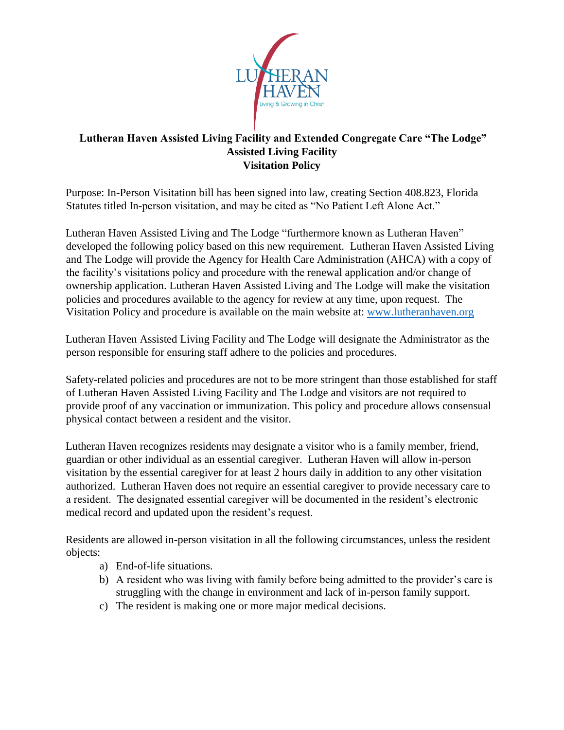

## **Lutheran Haven Assisted Living Facility and Extended Congregate Care "The Lodge" Assisted Living Facility Visitation Policy**

Purpose: In-Person Visitation bill has been signed into law, creating Section 408.823, Florida Statutes titled In-person visitation, and may be cited as "No Patient Left Alone Act."

Lutheran Haven Assisted Living and The Lodge "furthermore known as Lutheran Haven" developed the following policy based on this new requirement. Lutheran Haven Assisted Living and The Lodge will provide the Agency for Health Care Administration (AHCA) with a copy of the facility's visitations policy and procedure with the renewal application and/or change of ownership application. Lutheran Haven Assisted Living and The Lodge will make the visitation policies and procedures available to the agency for review at any time, upon request. The Visitation Policy and procedure is available on the main website at: www.lutheranhaven.org

Lutheran Haven Assisted Living Facility and The Lodge will designate the Administrator as the person responsible for ensuring staff adhere to the policies and procedures.

Safety-related policies and procedures are not to be more stringent than those established for staff of Lutheran Haven Assisted Living Facility and The Lodge and visitors are not required to provide proof of any vaccination or immunization. This policy and procedure allows consensual physical contact between a resident and the visitor.

Lutheran Haven recognizes residents may designate a visitor who is a family member, friend, guardian or other individual as an essential caregiver. Lutheran Haven will allow in-person visitation by the essential caregiver for at least 2 hours daily in addition to any other visitation authorized. Lutheran Haven does not require an essential caregiver to provide necessary care to a resident. The designated essential caregiver will be documented in the resident's electronic medical record and updated upon the resident's request.

Residents are allowed in-person visitation in all the following circumstances, unless the resident objects:

- a) End-of-life situations.
- b) A resident who was living with family before being admitted to the provider's care is struggling with the change in environment and lack of in-person family support.
- c) The resident is making one or more major medical decisions.